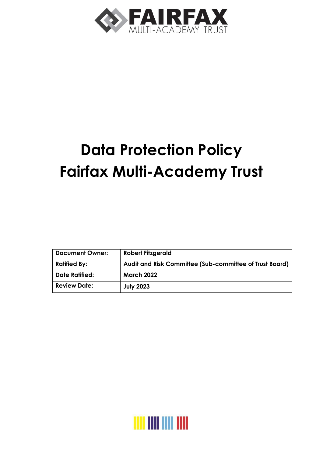

# **Data Protection Policy Fairfax Multi-Academy Trust**

| <b>Document Owner:</b> | <b>Robert Fitzgerald</b>                                |
|------------------------|---------------------------------------------------------|
| <b>Ratified By:</b>    | Audit and Risk Committee (Sub-committee of Trust Board) |
| <b>Date Ratified:</b>  | <b>March 2022</b>                                       |
| <b>Review Date:</b>    | <b>July 2023</b>                                        |

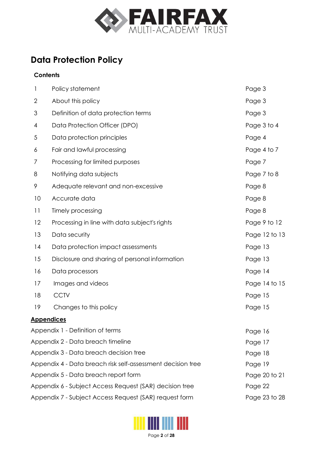

# **Data Protection Policy**

# **Contents**

| 1                                                                       | Policy statement                                                   | Page 3        |  |
|-------------------------------------------------------------------------|--------------------------------------------------------------------|---------------|--|
| 2                                                                       | About this policy                                                  | Page 3        |  |
| 3                                                                       | Definition of data protection terms                                | Page 3        |  |
| 4                                                                       | Data Protection Officer (DPO)                                      | Page 3 to 4   |  |
| 5                                                                       | Data protection principles                                         | Page 4        |  |
| 6                                                                       | Fair and lawful processing                                         | Page 4 to 7   |  |
| 7                                                                       | Processing for limited purposes                                    | Page 7        |  |
| 8                                                                       | Notifying data subjects                                            | Page 7 to 8   |  |
| 9                                                                       | Adequate relevant and non-excessive                                | Page 8        |  |
| 10                                                                      | Accurate data                                                      | Page 8        |  |
| 11                                                                      | Timely processing                                                  | Page 8        |  |
| 12                                                                      | Processing in line with data subject's rights                      | Page 9 to 12  |  |
| 13                                                                      | Data security                                                      | Page 12 to 13 |  |
| 14                                                                      | Data protection impact assessments                                 | Page 13       |  |
| 15                                                                      | Disclosure and sharing of personal information                     | Page 13       |  |
| 16                                                                      | Data processors                                                    | Page 14       |  |
| 17                                                                      | Images and videos                                                  | Page 14 to 15 |  |
| 18                                                                      | <b>CCTV</b>                                                        | Page 15       |  |
| 19                                                                      | Changes to this policy                                             | Page 15       |  |
|                                                                         | <b>Appendices</b>                                                  |               |  |
| Appendix 1 - Definition of terms                                        | Page 16                                                            |               |  |
| Appendix 2 - Data breach timeline                                       | Page 17                                                            |               |  |
| Appendix 3 - Data breach decision tree                                  |                                                                    | Page 18       |  |
| Appendix 4 - Data breach risk self-assessment decision tree<br>Page 19  |                                                                    |               |  |
|                                                                         | Appendix 5 - Data breach report form<br>Page 20 to 21              |               |  |
|                                                                         | Appendix 6 - Subject Access Request (SAR) decision tree<br>Page 22 |               |  |
| Appendix 7 - Subject Access Request (SAR) request form<br>Page 23 to 28 |                                                                    |               |  |

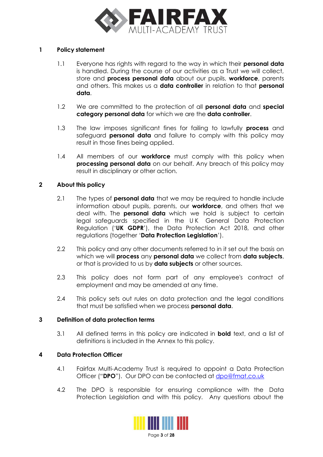

# <span id="page-2-0"></span>**1 Policy statement**

- 1.1 Everyone has rights with regard to the way in which their **personal data** is handled. During the course of our activities as a Trust we will collect, store and **process personal data** about our pupils, **workforce**, parents and others. This makes us a **data controller** in relation to that **personal data**.
- 1.2 We are committed to the protection of all **personal data** and **special category personal data** for which we are the **data controller**.
- 1.3 The law imposes significant fines for failing to lawfully **process** and safeguard **personal data** and failure to comply with this policy may result in those fines being applied.
- 1.4 All members of our **workforce** must comply with this policy when **processing personal data** on our behalf. Any breach of this policy may result in disciplinary or other action.

# **2 About this policy**

- 2.1 The types of **personal data** that we may be required to handle include information about pupils, parents, our **workforce**, and others that we deal with. The **personal data** which we hold is subject to certain legal safeguards specified in the U K General Data Protection Regulation ('**UK GDPR**'), the Data Protection Act 2018, and other regulations (together '**Data Protection Legislation**').
- 2.2 This policy and any other documents referred to in it set out the basis on which we will **process** any **personal data** we collect from **data subjects**, or that is provided to us by **data subjects** or other sources.
- 2.3 This policy does not form part of any employee's contract of employment and may be amended at any time.
- 2.4 This policy sets out rules on data protection and the legal conditions that must be satisfied when we process **personal data**.

# **3 Definition of data protection terms**

3.1 All defined terms in this policy are indicated in **bold** text, and a list of definitions is included in the Annex to this policy.

# **4 Data Protection Officer**

- 4.1 Fairfax Multi-Academy Trust is required to appoint a Data Protection Officer ("**DPO**"). Our DPO can be contacted at [dpo@fmat.co.uk](mailto:dpo@fmat.co.uk)
- 4.2 The DPO is responsible for ensuring compliance with the Data Protection Legislation and with this policy. Any questions about the

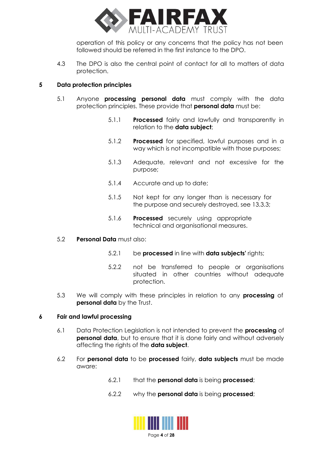

operation of this policy or any concerns that the policy has not been followed should be referred in the first instance to the DPO.

<span id="page-3-0"></span>4.3 The DPO is also the central point of contact for all to matters of data protection.

# **5 Data protection principles**

- 5.1 Anyone **processing personal data** must comply with the data protection principles. These provide that **personal data** must be:
	- 5.1.1 **Processed** fairly and lawfully and transparently in relation to the **data subject**;
	- 5.1.2 **Processed** for specified, lawful purposes and in a way which is not incompatible with those purposes;
	- 5.1.3 Adequate, relevant and not excessive for the purpose;
	- 5.1.4 Accurate and up to date;
	- 5.1.5 Not kept for any longer than is necessary for the purpose and securely destroyed, see 13.3.3;
	- 5.1.6 **Processed** securely using appropriate technical and organisational measures.

# 5.2 **Personal Data** must also:

- 5.2.1 be **processed** in line with **data subjects'** rights;
- 5.2.2 not be transferred to people or organisations situated in other countries without adequate protection.
- 5.3 We will comply with these principles in relation to any **processing** of **personal data** by the Trust.

# **6 Fair and lawful processing**

- 6.1 Data Protection Legislation is not intended to prevent the **processing** of **personal data**, but to ensure that it is done fairly and without adversely affecting the rights of the **data subject**.
- 6.2 For **personal data** to be **processed** fairly, **data subjects** must be made aware:
	- 6.2.1 that the **personal data** is being **processed**;
	- 6.2.2 why the **personal data** is being **processed**;

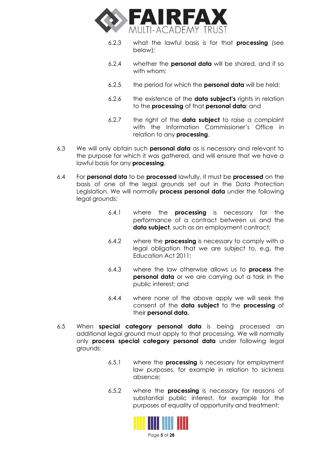

- 6.2.3 what the lawful basis is for that **processing** (see below);
- 6.2.4 whether the **personal data** will be shared, and if so with whom;
- 6.2.5 the period for which the **personal data** will be held;
- 6.2.6 the existence of the **data subject's** rights in relation to the **processing** of that **personal data**; and
- 6.2.7 the right of the **data subject** to raise a complaint with the Information Commissioner's Office in relation to any **processing**.
- 6.3 We will only obtain such **personal data** as is necessary and relevant to the purpose for which it was gathered, and will ensure that we have a lawful basis for any **processing**.
- 6.4 For **personal data** to be **processed** lawfully, it must be **processed** on the basis of one of the legal grounds set out in the Data Protection Legislation. We will normally **process personal data** under the following legal grounds:
	- 6.4.1 where the **processing** is necessary for the performance of a contract between us and the **data subject**, such as an employment contract;
	- 6.4.2 where the **processing** is necessary to comply with a legal obligation that we are subject to, e.g. the Education Act 2011;
	- 6.4.3 where the law otherwise allows us to **process** the **personal data** or we are carrying out a task in the public interest; and
	- 6.4.4 where none of the above apply we will seek the consent of the **data subject** to the **processing** of their **personal data.**
- 6.5 When **special category personal data** is being processed an additional legal ground must apply to that processing. We will normally only **process special category personal data** under following legal grounds:
	- 6.5.1 where the **processing** is necessary for employment law purposes, for example in relation to sickness absence;
	- 6.5.2 where the **processing** is necessary for reasons of substantial public interest, for example for the purposes of equality of opportunity and treatment;



Page **5** of **28**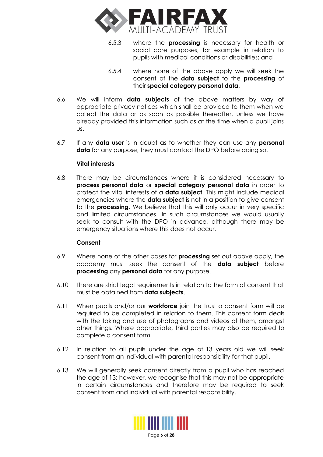

- 6.5.3 where the **processing** is necessary for health or social care purposes, for example in relation to pupils with medical conditions or disabilities; and
- 6.5.4 where none of the above apply we will seek the consent of the **data subject** to the **processing** of their **special category personal data**.
- 6.6 We will inform **data subjects** of the above matters by way of appropriate privacy notices which shall be provided to them when we collect the data or as soon as possible thereafter, unless we have already provided this information such as at the time when a pupil joins us.
- 6.7 If any **data user** is in doubt as to whether they can use any **personal data** for any purpose, they must contact the DPO before doing so.

# **Vital interests**

6.8 There may be circumstances where it is considered necessary to **process personal data** or **special category personal data** in order to protect the vital interests of a **data subject**. This might include medical emergencies where the **data subject** is not in a position to give consent to the **processing**. We believe that this will only occur in very specific and limited circumstances. In such circumstances we would usually seek to consult with the DPO in advance, although there may be emergency situations where this does not occur.

# **Consent**

- 6.9 Where none of the other bases for **processing** set out above apply, the academy must seek the consent of the **data subject** before **processing** any **personal data** for any purpose.
- 6.10 There are strict legal requirements in relation to the form of consent that must be obtained from **data subjects**.
- 6.11 When pupils and/or our **workforce** join the Trust a consent form will be required to be completed in relation to them. This consent form deals with the taking and use of photographs and videos of them, amongst other things. Where appropriate, third parties may also be required to complete a consent form.
- 6.12 In relation to all pupils under the age of 13 years old we will seek consent from an individual with parental responsibility for that pupil.
- 6.13 We will generally seek consent directly from a pupil who has reached the age of 13; however, we recognise that this may not be appropriate in certain circumstances and therefore may be required to seek consent from and individual with parental responsibility.

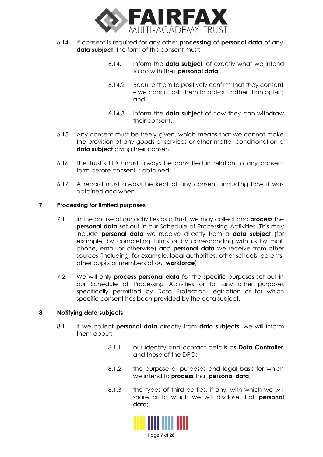

- <span id="page-6-0"></span>6.14 If consent is required for any other **processing** of **personal data** of any **data subject**, the form of this consent must:
	- 6.14.1 Inform the **data subject** of exactly what we intend to do with their **personal data**;
	- 6.14.2 Require them to positively confirm that they consent – we cannot ask them to opt-out rather than opt-in; and
	- 6.14.3 Inform the **data subject** of how they can withdraw their consent.
- 6.15 Any consent must be freely given, which means that we cannot make the provision of any goods or services or other matter conditional on a **data subject** giving their consent.
- 6.16 The Trust's DPO must always be consulted in relation to any consent form before consent is obtained.
- 6.17 A record must always be kept of any consent, including how it was obtained and when.

# **7 Processing for limited purposes**

- 7.1 In the course of our activities as a Trust, we may collect and **process** the **personal data** set out in our Schedule of Processing Activities. This may include **personal data** we receive directly from a **data subject** (for example, by completing forms or by corresponding with us by mail, phone, email or otherwise) and **personal data** we receive from other sources (including, for example, local authorities, other schools, parents, other pupils or members of our **workforce**).
- 7.2 We will only **process personal data** for the specific purposes set out in our Schedule of Processing Activities or for any other purposes specifically permitted by Data Protection Legislation or for which specific consent has been provided by the data subject.

# **8 Notifying data subjects**

- 8.1 If we collect **personal data** directly from **data subjects**, we will inform them about:
	- 8.1.1 our identity and contact details as **Data Controller** and those of the DPO;
	- 8.1.2 the purpose or purposes and legal basis for which we intend to **process** that **personal data**;
	- 8.1.3 the types of third parties, if any, with which we will share or to which we will disclose that **personal data**;

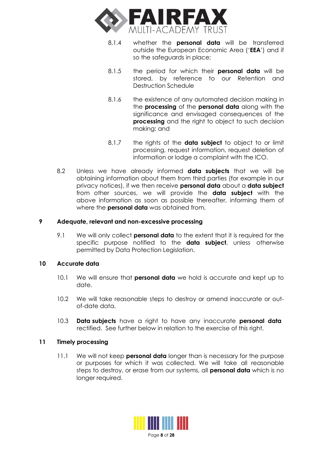<span id="page-7-0"></span>

- 8.1.4 whether the **personal data** will be transferred outside the European Economic Area ('**EEA**') and if so the safeguards in place;
- 8.1.5 the period for which their **personal data** will be stored, by reference to our Retention and Destruction Schedule
- 8.1.6 the existence of any automated decision making in the **processing** of the **personal data** along with the significance and envisaged consequences of the **processing** and the right to object to such decision making; and
- 8.1.7 the rights of the **data subject** to object to or limit processing, request information, request deletion of information or lodge a complaint with the ICO.
- 8.2 Unless we have already informed **data subjects** that we will be obtaining information about them from third parties (for example in our privacy notices), if we then receive **personal data** about a **data subject** from other sources, we will provide the **data subject** with the above information as soon as possible thereafter, informing them of where the **personal data** was obtained from.

# **9 Adequate, relevant and non-excessive processing**

9.1 We will only collect **personal data** to the extent that it is required for the specific purpose notified to the **data subject**, unless otherwise permitted by Data Protection Legislation.

# **10 Accurate data**

- 10.1 We will ensure that **personal data** we hold is accurate and kept up to date.
- 10.2 We will take reasonable steps to destroy or amend inaccurate or outof-date data.
- 10.3 **Data subjects** have a right to have any inaccurate **personal data** rectified. See further below in relation to the exercise of this right.

# **11 Timely processing**

11.1 We will not keep **personal data** longer than is necessary for the purpose or purposes for which it was collected. We will take all reasonable steps to destroy, or erase from our systems, all **personal data** which is no longer required.

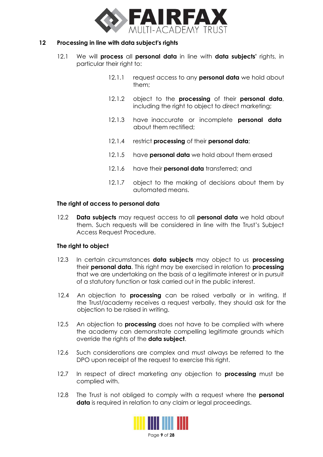

# <span id="page-8-0"></span>**12 Processing in line with data subject's rights**

- 12.1 We will **process** all **personal data** in line with **data subjects'** rights, in particular their right to:
	- 12.1.1 request access to any **personal data** we hold about them;
	- 12.1.2 object to the **processing** of their **personal data**, including the right to object to direct marketing;
	- 12.1.3 have inaccurate or incomplete **personal data** about them rectified;
	- 12.1.4 restrict **processing** of their **personal data**;
	- 12.1.5 have **personal data** we hold about them erased
	- 12.1.6 have their **personal data** transferred; and
	- 12.1.7 object to the making of decisions about them by automated means.

# **The right of access to personal data**

12.2 **Data subjects** may request access to all **personal data** we hold about them. Such requests will be considered in line with the Trust's Subject Access Request Procedure.

# **The right to object**

- 12.3 In certain circumstances **data subjects** may object to us **processing** their **personal data**. This right may be exercised in relation to **processing** that we are undertaking on the basis of a legitimate interest or in pursuit of a statutory function or task carried out in the public interest.
- 12.4 An objection to **processing** can be raised verbally or in writing. If the Trust/academy receives a request verbally, they should ask for the objection to be raised in writing.
- 12.5 An objection to **processing** does not have to be complied with where the academy can demonstrate compelling legitimate grounds which override the rights of the **data subject**.
- 12.6 Such considerations are complex and must always be referred to the DPO upon receipt of the request to exercise this right.
- 12.7 In respect of direct marketing any objection to **processing** must be complied with.
- 12.8 The Trust is not obliged to comply with a request where the **personal data** is required in relation to any claim or legal proceedings.

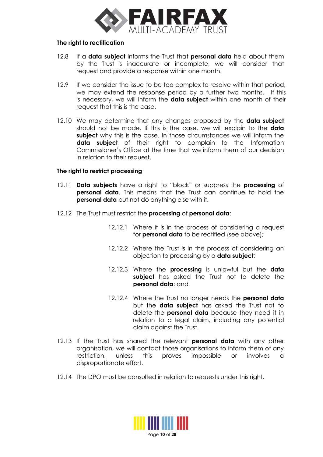

### **The right to rectification**

- 12.8 If a **data subject** informs the Trust that **personal data** held about them by the Trust is inaccurate or incomplete, we will consider that request and provide a response within one month.
- 12.9 If we consider the issue to be too complex to resolve within that period, we may extend the response period by a further two months. If this is necessary, we will inform the **data subject** within one month of their request that this is the case.
- 12.10 We may determine that any changes proposed by the **data subject** should not be made. If this is the case, we will explain to the **data subject** why this is the case. In those circumstances we will inform the **data subject** of their right to complain to the Information Commissioner's Office at the time that we inform them of our decision in relation to their request.

# **The right to restrict processing**

- 12.11 **Data subjects** have a right to "block" or suppress the **processing** of **personal data**. This means that the Trust can continue to hold the **personal data** but not do anything else with it.
- 12.12 The Trust must restrict the **processing** of **personal data**:
	- 12.12.1 Where it is in the process of considering a request for **personal data** to be rectified (see above);
	- 12.12.2 Where the Trust is in the process of considering an objection to processing by a **data subject**;
	- 12.12.3 Where the **processing** is unlawful but the **data subject** has asked the Trust not to delete the **personal data**; and
	- 12.12.4 Where the Trust no longer needs the **personal data** but the **data subject** has asked the Trust not to delete the **personal data** because they need it in relation to a legal claim, including any potential claim against the Trust.
- 12.13 If the Trust has shared the relevant **personal data** with any other organisation, we will contact those organisations to inform them of any restriction, unless this proves impossible or involves a disproportionate effort.
- 12.14 The DPO must be consulted in relation to requests under this right.

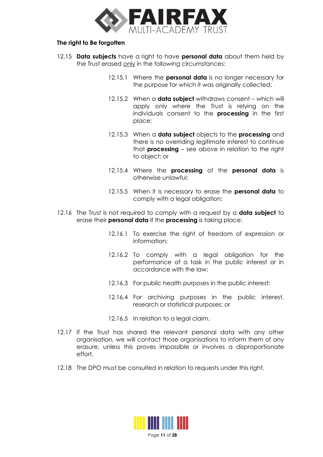

# **The right to Be forgotten**

- 12.15 **Data subjects** have a right to have **personal data** about them held by the Trust erased only in the following circumstances:
	- 12.15.1 Where the **personal data** is no longer necessary for the purpose for which it was originally collected;
	- 12.15.2 When a **data subject** withdraws consent which will apply only where the Trust is relying on the individuals consent to the **processing** in the first place;
	- 12.15.3 When a **data subject** objects to the **processing** and there is no overriding legitimate interest to continue that **processing** – see above in relation to the right to object; or
	- 12.15.4 Where the **processing** of the **personal data** is otherwise unlawful;
	- 12.15.5 When it is necessary to erase the **personal data** to comply with a legal obligation;
- 12.16 The Trust is not required to comply with a request by a **data subject** to erase their **personal data** if the **processing** is taking place:
	- 12.16.1 To exercise the right of freedom of expression or information;
	- 12.16.2 To comply with a legal obligation for the performance of a task in the public interest or in accordance with the law;
	- 12.16.3 For public health purposes in the public interest;
	- 12.16.4 For archiving purposes in the public interest, research or statistical purposes; or
	- 12.16.5 In relation to a legal claim.
- 12.17 If the Trust has shared the relevant personal data with any other organisation, we will contact those organisations to inform them of any erasure, unless this proves impossible or involves a disproportionate effort.
- 12.18 The DPO must be consulted in relation to requests under this right.

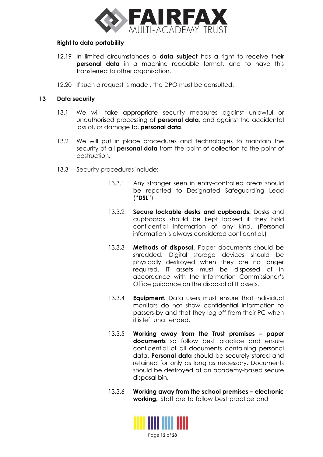

### <span id="page-11-0"></span>**Right to data portability**

- 12.19 In limited circumstances a **data subject** has a right to receive their **personal data** in a machine readable format, and to have this transferred to other organisation.
- 12.20 If such a request is made, the DPO must be consulted.

# **13 Data security**

- 13.1 We will take appropriate security measures against unlawful or unauthorised processing of **personal data**, and against the accidental loss of, or damage to, **personal data**.
- 13.2 We will put in place procedures and technologies to maintain the security of all **personal data** from the point of collection to the point of destruction.
- 13.3 Security procedures include:
	- 13.3.1 Any stranger seen in entry-controlled areas should be reported to Designated Safeguarding Lead ("**DSL**")
	- 13.3.2 **Secure lockable desks and cupboards.** Desks and cupboards should be kept locked if they hold confidential information of any kind. (Personal information is always considered confidential.)
	- 13.3.3 **Methods of disposal.** Paper documents should be shredded. Digital storage devices should be physically destroyed when they are no longer required. IT assets must be disposed of in accordance with the Information Commissioner's Office guidance on the disposal of IT assets.
	- 13.3.4 **Equipment.** Data users must ensure that individual monitors do not show confidential information to passers-by and that they log off from their PC when it is left unattended.
	- 13.3.5 **Working away from the Trust premises – paper documents** so follow best practice and ensure confidential of all documents containing personal data. **Personal data** should be securely stored and retained for only as long as necessary. Documents should be destroyed at an academy-based secure disposal bin.
	- 13.3.6 **Working away from the school premises – electronic working.** Staff are to follow best practice and

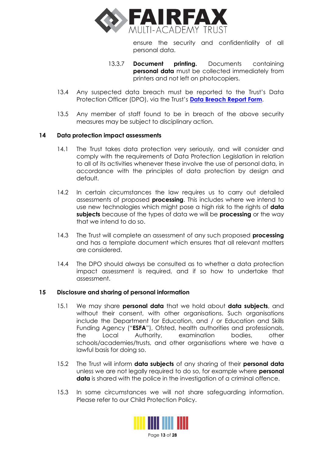

ensure the security and confidentiality of all personal data.

- 13.3.7 **Document printing.** Documents containing **personal data** must be collected immediately from printers and not left on photocopiers.
- <span id="page-12-0"></span>13.4 Any suspected data breach must be reported to the Trust's Data Protection Officer (DPO), via the Trust's **[Data Breach Report Form](https://forms.office.com/Pages/ResponsePage.aspx?id=HnypkIpiskmKnVw6Paee-1KUmhroqrtJhUZBR4zt4wVUQjRaUEJIUDdFT1owNFcxMkVNTlAySFk4QS4u)**.
- 13.5 Any member of staff found to be in breach of the above security measures may be subject to disciplinary action.

# **14 Data protection impact assessments**

- 14.1 The Trust takes data protection very seriously, and will consider and comply with the requirements of Data Protection Legislation in relation to all of its activities whenever these involve the use of personal data, in accordance with the principles of data protection by design and default.
- 14.2 In certain circumstances the law requires us to carry out detailed assessments of proposed **processing**. This includes where we intend to use new technologies which might pose a high risk to the rights of **data subjects** because of the types of data we will be **processing** or the way that we intend to do so.
- 14.3 The Trust will complete an assessment of any such proposed **processing** and has a template document which ensures that all relevant matters are considered.
- 14.4 The DPO should always be consulted as to whether a data protection impact assessment is required, and if so how to undertake that assessment.

# **15 Disclosure and sharing of personal information**

- 15.1 We may share **personal data** that we hold about **data subjects**, and without their consent, with other organisations. Such organisations include the Department for Education, and / or Education and Skills Funding Agency ("**ESFA**"), Ofsted, health authorities and professionals, the Local Authority, examination bodies, other schools/academies/trusts, and other organisations where we have a lawful basis for doing so.
- 15.2 The Trust will inform **data subjects** of any sharing of their **personal data** unless we are not legally required to do so, for example where **personal data** is shared with the police in the investigation of a criminal offence.
- 15.3 In some circumstances we will not share safeguarding information. Please refer to our Child Protection Policy.

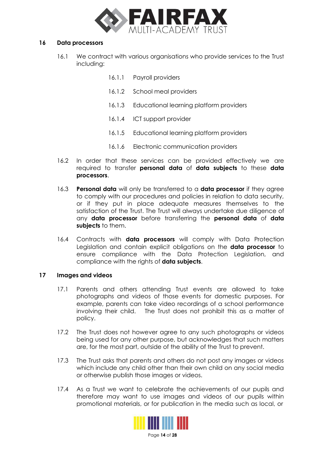

### <span id="page-13-0"></span>**16 Data processors**

- 16.1 We contract with various organisations who provide services to the Trust including:
	- 16.1.1 Payroll providers
	- 16.1.2 School meal providers
	- 16.1.3 Educational learning platform providers
	- 16.1.4 ICT support provider
	- 16.1.5 Educational learning platform providers
	- 16.1.6 Electronic communication providers
- 16.2 In order that these services can be provided effectively we are required to transfer **personal data** of **data subjects** to these **data processors**.
- 16.3 **Personal data** will only be transferred to a **data processor** if they agree to comply with our procedures and policies in relation to data security, or if they put in place adequate measures themselves to the satisfaction of the Trust. The Trust will always undertake due diligence of any **data processor** before transferring the **personal data** of **data subjects** to them.
- 16.4 Contracts with **data processors** will comply with Data Protection Legislation and contain explicit obligations on the **data processor** to ensure compliance with the Data Protection Legislation, and compliance with the rights of **data subjects**.

# **17 Images and videos**

- 17.1 Parents and others attending Trust events are allowed to take photographs and videos of those events for domestic purposes. For example, parents can take video recordings of a school performance involving their child. The Trust does not prohibit this as a matter of policy.
- 17.2 The Trust does not however agree to any such photographs or videos being used for any other purpose, but acknowledges that such matters are, for the most part, outside of the ability of the Trust to prevent.
- 17.3 The Trust asks that parents and others do not post any images or videos which include any child other than their own child on any social media or otherwise publish those images or videos.
- 17.4 As a Trust we want to celebrate the achievements of our pupils and therefore may want to use images and videos of our pupils within promotional materials, or for publication in the media such as local, or

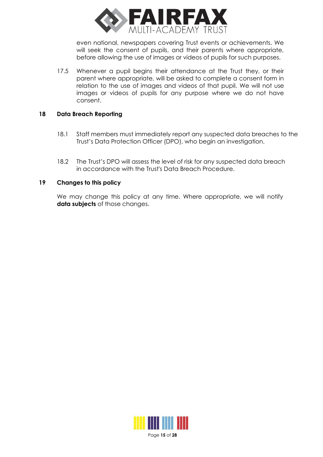

even national, newspapers covering Trust events or achievements. We will seek the consent of pupils, and their parents where appropriate, before allowing the use of images or videos of pupils for such purposes.

<span id="page-14-0"></span>17.5 Whenever a pupil begins their attendance at the Trust they, or their parent where appropriate, will be asked to complete a consent form in relation to the use of images and videos of that pupil. We will not use images or videos of pupils for any purpose where we do not have consent.

# **18 Data Breach Reporting**

- 18.1 Staff members must immediately report any suspected data breaches to the Trust's Data Protection Officer (DPO), who begin an investigation.
- 18.2 The Trust's DPO will assess the level of risk for any suspected data breach in accordance with the Trust's Data Breach Procedure.

# **19 Changes to this policy**

We may change this policy at any time. Where appropriate, we will notify **data subjects** of those changes.

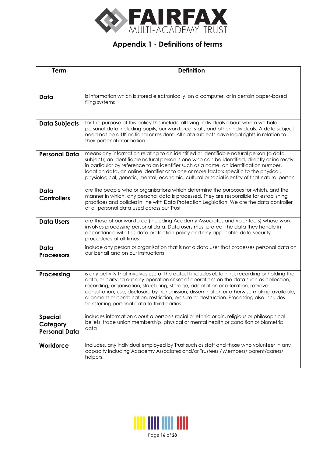

# **Appendix 1 - Definitions of terms**

<span id="page-15-0"></span>

| <b>Term</b>                                        | <b>Definition</b>                                                                                                                                                                                                                                                                                                                                                                                                                                                                                                          |
|----------------------------------------------------|----------------------------------------------------------------------------------------------------------------------------------------------------------------------------------------------------------------------------------------------------------------------------------------------------------------------------------------------------------------------------------------------------------------------------------------------------------------------------------------------------------------------------|
|                                                    |                                                                                                                                                                                                                                                                                                                                                                                                                                                                                                                            |
|                                                    |                                                                                                                                                                                                                                                                                                                                                                                                                                                                                                                            |
| Data                                               | is information which is stored electronically, on a computer, or in certain paper-based<br>filing systems                                                                                                                                                                                                                                                                                                                                                                                                                  |
|                                                    |                                                                                                                                                                                                                                                                                                                                                                                                                                                                                                                            |
| <b>Data Subjects</b>                               | for the purpose of this policy this include all living individuals about whom we hold<br>personal data including pupils, our workforce, staff, and other individuals. A data subject<br>need not be a UK national or resident. All data subjects have legal rights in relation to<br>their personal information                                                                                                                                                                                                            |
| <b>Personal Data</b>                               | means any information relating to an identified or identifiable natural person (a data<br>subject); an identifiable natural person is one who can be identified, directly or indirectly,<br>in particular by reference to an identifier such as a name, an identification number,<br>location data, an online identifier or to one or more factors specific to the physical,<br>physiological, genetic, mental, economic, cultural or social identity of that natural person                                               |
| Data<br><b>Controllers</b>                         | are the people who or organisations which determine the purposes for which, and the<br>manner in which, any personal data is processed. They are responsible for establishing<br>practices and policies in line with Data Protection Legislation. We are the data controller<br>of all personal data used across our Trust                                                                                                                                                                                                 |
| <b>Data Users</b>                                  | are those of our workforce (including Academy Associates and volunteers) whose work<br>involves processing personal data. Data users must protect the data they handle in<br>accordance with this data protection policy and any applicable data security<br>procedures at all times                                                                                                                                                                                                                                       |
| Data<br><b>Processors</b>                          | include any person or organisation that is not a data user that processes personal data on<br>our behalf and on our instructions                                                                                                                                                                                                                                                                                                                                                                                           |
| Processing                                         | is any activity that involves use of the data. It includes obtaining, recording or holding the<br>data, or carrying out any operation or set of operations on the data such as collection,<br>recording, organisation, structuring, storage, adaptation or alteration, retrieval,<br>consultation, use, disclosure by transmission, dissemination or otherwise making available,<br>alignment or combination, restriction, erasure or destruction. Processing also includes<br>transferring personal data to third parties |
| <b>Special</b><br>Category<br><b>Personal Data</b> | includes information about a person's racial or ethnic origin, religious or philosophical<br>beliefs, trade union membership, physical or mental health or condition or biometric<br>data                                                                                                                                                                                                                                                                                                                                  |
| Workforce                                          | Includes, any individual employed by Trust such as staff and those who volunteer in any<br>capacity including Academy Associates and/or Trustees / Members/ parent/carers/<br>helpers.                                                                                                                                                                                                                                                                                                                                     |

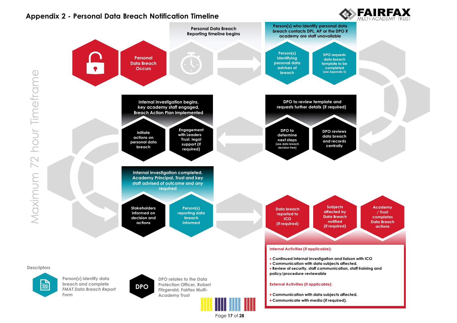# **Appendix 2 - Personal Data Breach Notification Timeline**



<span id="page-16-0"></span>

Page **17** of **28**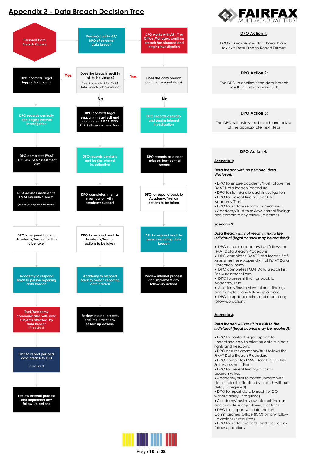# **Appendix 3 - Data Breach Decision Tree**

<span id="page-17-0"></span>



Page **18** of **28**



**DPO Action 3:** The DPO will review the breach and advise of the appriopriate next steps **DPO Action 4: Scenario 1:** *Data Breach with no personal data disclosed:* • DPO to ensure academy/trust follows the FMAT Data Breach Procedure • DPO to start data breach investigation • DPO to present findings back to Academy/Trust • DPO to update records as near miss • Academy/Trust to review internal findings and complete any follow-up actions **Scenario 2:** *Data Breach will not result in risk to the individual (legal council may be required):* • DPO ensures academy/trust follows the FMAT Data Breach Procedure • DPO completes FMAT Data Breach Self-Assessment see Appendix 4 of FMAT Data Protection Policy • DPO completes FMAT Data Breach Risk Self-Assessment Form • DPO to present findings back to Academy/Trust • Academy/trust review internal findings and complete any follow-up actions • DPO to update recirds and record any follow-up actions **Scenario 3:** *Data Breach will result in a risk to the individual (legal council may be required):* • DPO to contact legal support to understand how to prioritise data subjects rights and freedoms • DPO ensures academy/trust follows the FMAT Data Breach Procedure • DPO completes FMAT Data Breach Risk Self-Assessment Form • DPO to present findings back to academy/trust • Academy/trust to communicate with data subjects affected by breach without delay (if required) • DPO to report data breach to ICO without delay (if required) **DPO Action 2:** The DPO to confirm if the data breach results in a risk to individuals **DPO Action 1:** DPO acknowledges data breach and reviews Data Breach Report Format

• Academy/trust review internal findings and complete any follow-up actions • DPO to support with Information

Commissioners Office (ICO) on any follow up actions (if required).

• DPO to update records and record any follow-up actions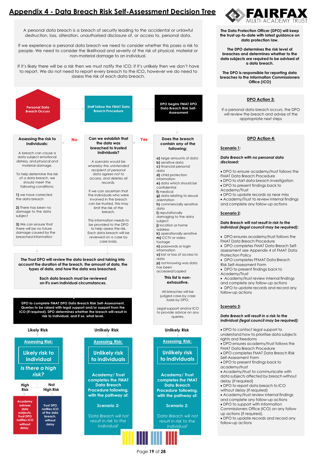# **Appendix 4 - Data Breach Risk Self-Assessment Decision Tree**

<span id="page-18-0"></span>A personal data breach is a breach of security leading to the accidental or unlawful destruction, loss, alteration, unauthorised disclosure of, or access to, personal data.

If we experience a personal data breach we need to consider whether this poses a risk to people. We need to consider the likelihood and severity of the risk of physical, material or non-material damage to an individual.

If it's likely there will be a risk then we must notify the ICO; if it's unlikely then we don't have to report. We do not need to report every breach to the ICO**,** however we do need to assess the risk of each data breach.





**The Data Protection Officer (DPO) will keep the trust up-to-date with latest guidance on data protection law.**

**The DPO determines the risk level of breaches and determines whether to the data subjects are required to be advised of a data breach.**

**The DPO is responsible for reporting data breaches to the Information Commissioners Office (ICO)**

#### **DPO Action 3:**

If a personal data breach occurs, the DPO will review the breach and advise of the appriopriate next steps

#### **DPO Action 4:**

#### **Scenario 1:**

#### *Data Breach with no personal data disclosed:*

- DPO to ensure academy/trust follows the
- FMAT Data Breach Procedure • DPO to start data breach investigation
- DPO to present findings back to
- Academy/Trust
- DPO to update records as near miss
- Academy/Trust to review internal findings and complete any follow-up actions

#### **Scenario 2:**

#### *Data Breach will not result in risk to the individual (legal council may be required):*

- DPO ensures academy/trust follows the FMAT Data Breach Procedure
- DPO completes FMAT Data Breach Self-
- assessment see Appendix 4 of FMAT Data Protection Policy
- DPO completes FFMAT Data Breach
- Risk Self-Assessment Form • DPO to present findings back to
- Academy/Trust
- Academy/trust review internal findings
- and complete any follow-up actions • DPO to update records and record any
- follow-up actions

#### **Scenario 3:**

#### *Data Breach will result in a risk to the individual (legal council may be required):*

- DPO to contact legal support to understand how to prioritise data subjects rights and freedoms
- DPO ensures academy/trust follows the FMAT Data Breach Procedure
- DPO completes FMAT Data Breach Risk Self-Assessment Form
- DPO to present findings back to academy/trust
- Academy/trust to communicate with data subjects affected by breach without delay (if required)
- DPO to report data breach to ICO
- without delay (if required) • Academy/trust review internal findings
- and complete any follow-up actions
- DPO to support with Information Commissioners Office (ICO) on any follow
- up actions (if required). • DPO to update records and record any follow-up actions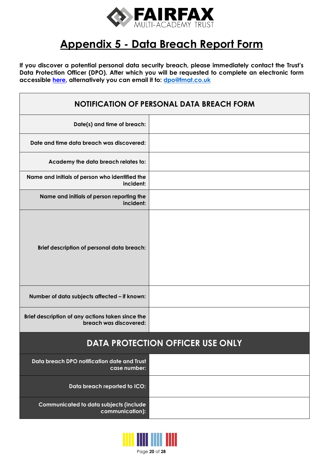

# **Appendix 5 - Data Breach Report Form**

<span id="page-19-0"></span>**If you discover a potential personal data security breach, please immediately contact the Trust's Data Protection Officer (DPO). After which you will be requested to complete an electronic form accessible [here,](https://forms.office.com/Pages/ResponsePage.aspx?id=HnypkIpiskmKnVw6Paee-1KUmhroqrtJhUZBR4zt4wVUQjRaUEJIUDdFT1owNFcxMkVNTlAySFk4QS4u) alternatively you can email it to: [dpo@fmat.co.uk](mailto:dpo@fmat.co.uk)**

| <b>NOTIFICATION OF PERSONAL DATA BREACH FORM</b>                           |  |  |
|----------------------------------------------------------------------------|--|--|
| Date(s) and time of breach:                                                |  |  |
| Date and time data breach was discovered:                                  |  |  |
| Academy the data breach relates to:                                        |  |  |
| Name and initials of person who identified the<br>incident:                |  |  |
| Name and initials of person reporting the<br>incident:                     |  |  |
| Brief description of personal data breach:                                 |  |  |
| Number of data subjects affected - if known:                               |  |  |
| Brief description of any actions taken since the<br>breach was discovered: |  |  |
| <b>DATA PROTECTION OFFICER USE ONLY</b>                                    |  |  |
| Data breach DPO notification date and Trust<br>case number:                |  |  |
| Data breach reported to ICO:                                               |  |  |
| Communicated to data subjects (include<br>communication):                  |  |  |

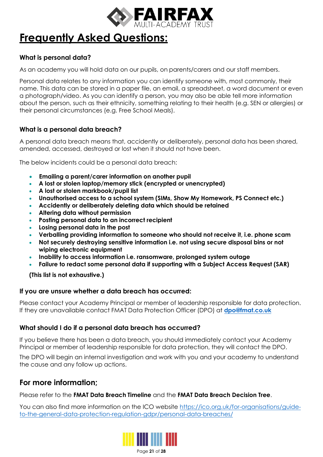

# **Frequently Asked Questions:**

# **What is personal data?**

As an academy you will hold data on our pupils, on parents/carers and our staff members.

Personal data relates to any information you can identify someone with, most commonly, their name. This data can be stored in a paper file, an email, a spreadsheet, a word document or even a photograph/video. As you can identify a person, you may also be able tell more information about the person, such as their ethnicity, something relating to their health (e.g. SEN or allergies) or their personal circumstances (e.g. Free School Meals).

# **What is a personal data breach?**

A personal data breach means that, accidently or deliberately, personal data has been shared, amended, accessed, destroyed or lost when it should not have been.

The below incidents could be a personal data breach:

- **Emailing a parent/carer information on another pupil**
- **A lost or stolen laptop/memory stick (encrypted or unencrypted)**
- **A lost or stolen markbook/pupil list**
- **Unauthorised access to a school system (SIMs, Show My Homework, PS Connect etc.)**
- **Accidently or deliberately deleting data which should be retained**
- **Altering data without permission**
- **Posting personal data to an incorrect recipient**
- **Losing personal data in the post**
- **Verballing providing information to someone who should not receive it, i.e. phone scam**
- **Not securely destroying sensitive information i.e. not using secure disposal bins or not wiping electronic equipment**
- **Inability to access information i.e. ransomware, prolonged system outage**
- **Failure to redact some personal data if supporting with a Subject Access Request (SAR)**

**(This list is not exhaustive.)**

# **If you are unsure whether a data breach has occurred:**

Please contact your Academy Principal or member of leadership responsible for data protection. If they are unavailable contact FMAT Data Protection Officer (DPO) at **[dpo@fmat.co.uk](mailto:dpo@fmat.co.uk)**

# **What should I do if a personal data breach has occurred?**

If you believe there has been a data breach, you should immediately contact your Academy Principal or member of leadership responsible for data protection, they will contact the DPO.

The DPO will begin an internal investigation and work with you and your academy to understand the cause and any follow up actions.

# **For more information;**

Please refer to the **FMAT Data Breach Timeline** and the **FMAT Data Breach Decision Tree**.

You can also find more information on the ICO website [https://ico.org.uk/for-organisations/guide](https://ico.org.uk/for-organisations/guide-to-the-general-data-protection-regulation-gdpr/personal-data-breaches/)[to-the-general-data-protection-regulation-gdpr/personal-data-breaches/](https://ico.org.uk/for-organisations/guide-to-the-general-data-protection-regulation-gdpr/personal-data-breaches/)



Page **21** of **28**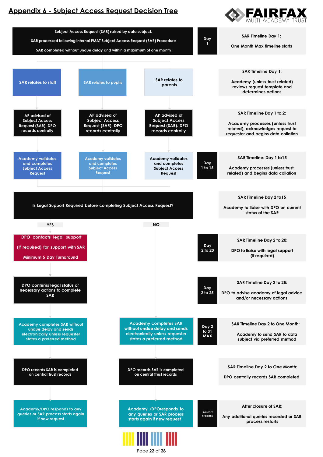# <span id="page-21-0"></span>**Appendix 6 - Subject Access Request Decision Tree**





Page **22** of **28**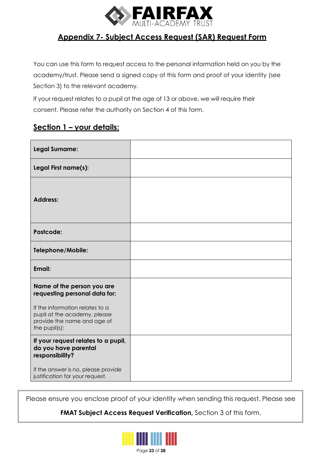

# **Appendix 7- Subject Access Request (SAR) Request Form**

<span id="page-22-0"></span>You can use this form to request access to the personal information held on you by the academy/trust. Please send a signed copy of this form and proof of your identity (see Section 3) to the relevant academy.

If your request relates to a pupil at the age of 13 or above, we will require their consent. Please refer the authority on Section 4 of this form.

# **Section 1 – your details:**

| <b>Legal Surname:</b>                                                                                           |  |
|-----------------------------------------------------------------------------------------------------------------|--|
| Legal First name(s):                                                                                            |  |
| <b>Address:</b>                                                                                                 |  |
| Postcode:                                                                                                       |  |
| Telephone/Mobile:                                                                                               |  |
| Email:                                                                                                          |  |
| Name of the person you are<br>requesting personal data for:                                                     |  |
| If the information relates to a<br>pupil at the academy, please<br>provide the name and age of<br>the pupil(s): |  |
| If your request relates to a pupil,<br>do you have parental<br>responsibility?                                  |  |
| If the answer is no, please provide<br>justification for your request.                                          |  |

Please ensure you enclose proof of your identity when sending this request. Please see

**FMAT Subject Access Request Verification,** Section 3 of this form.

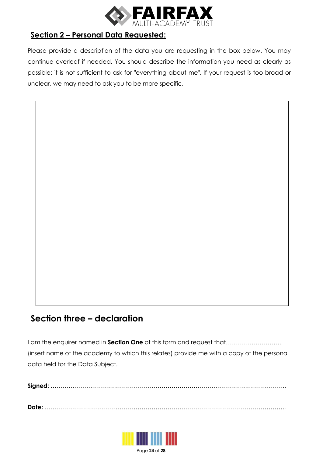

# **Section 2 – Personal Data Requested:**

Please provide a description of the data you are requesting in the box below. You may continue overleaf if needed. You should describe the information you need as clearly as possible: it is not sufficient to ask for "everything about me". If your request is too broad or unclear, we may need to ask you to be more specific.

# **Section three – declaration**

I am the enquirer named in **Section One** of this form and request that……………………….. (insert name of the academy to which this relates) provide me with a copy of the personal data held for the Data Subject.

**Date:** …………………………………………………………………………………………………………..



Page **24** of **28**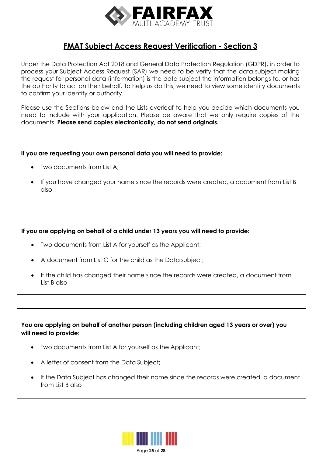

# **FMAT Subject Access Request Verification - Section 3**

Under the Data Protection Act 2018 and General Data Protection Regulation (GDPR), in order to process your Subject Access Request (SAR) we need to be verify that the data subject making the request for personal data (information) is the data subject the information belongs to, or has the authority to act on their behalf. To help us do this, we need to view some identity documents to confirm your identity or authority.

Please use the Sections below and the Lists overleaf to help you decide which documents you need to include with your application. Please be aware that we only require copies of the documents. **Please send copies electronically, do not send originals.**

# **If you are requesting your own personal data you will need to provide:**

- Two documents from List A;
- If you have changed your name since the records were created, a document from List B also

# **If you are applying on behalf of a child under 13 years you will need to provide:**

- Two documents from List A for yourself as the Applicant;
- A document from List C for the child as the Data subject;
- If the child has changed their name since the records were created, a document from List B also

**You are applying on behalf of another person (including children aged 13 years or over) you will need to provide:**

- Two documents from List A for yourself as the Applicant;
- A letter of consent from the Data Subject;
- If the Data Subject has changed their name since the records were created, a document from List B also

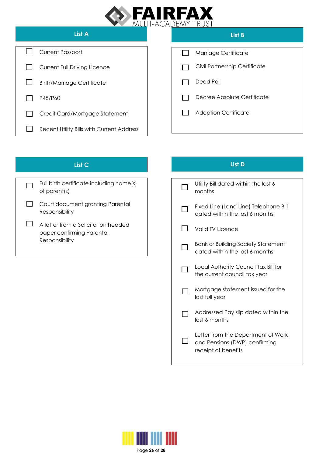

| List A                                    | List B                        |
|-------------------------------------------|-------------------------------|
| <b>Current Passport</b>                   | Marriage Certificate          |
| <b>Current Full Driving Licence</b>       | Civil Partnership Certificate |
| <b>Birth/Marriage Certificate</b>         | Deed Poll                     |
| P45/P60                                   | Decree Absolute Certificate   |
| Credit Card/Mortgage Statement            | <b>Adoption Certificate</b>   |
| Recent Utility Bills with Current Address |                               |
|                                           |                               |

| Full birth certificate including name(s)<br>of parent(s)                           |
|------------------------------------------------------------------------------------|
| Court document granting Parental<br>Responsibility                                 |
| A letter from a Solicitor on headed<br>paper confirming Parental<br>Responsibility |

# **List C List D**

| Utility Bill dated within the last 6<br>months                                             |
|--------------------------------------------------------------------------------------------|
| Fixed Line (Land Line) Telephone Bill<br>dated within the last 6 months                    |
| Valid TV Licence                                                                           |
| <b>Bank or Building Society Statement</b><br>dated within the last 6 months                |
| Local Authority Council Tax Bill for<br>the current council tax year                       |
| Mortgage statement issued for the<br>last full year                                        |
| Addressed Pay slip dated within the<br>last 6 months                                       |
| Letter from the Department of Work<br>and Pensions (DWP) confirming<br>receipt of benefits |



Page **26** of **28**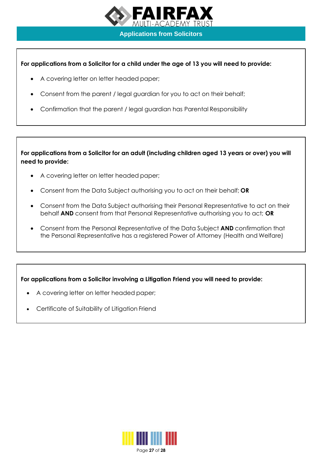

**Applications from Solicitors**

# **For applications from a Solicitor for a child under the age of 13 you will need to provide:**

- A covering letter on letter headed paper;
- Consent from the parent / legal guardian for you to act on their behalf;
- Confirmation that the parent / legal guardian has Parental Responsibility

**For applications from a Solicitor for an adult (including children aged 13 years or over) you will need to provide:**

- A covering letter on letter headed paper;
- Consent from the Data Subject authorising you to act on their behalf; **OR**
- Consent from the Data Subject authorising their Personal Representative to act on their behalf **AND** consent from that Personal Representative authorising you to act; **OR**
- Consent from the Personal Representative of the Data Subject **AND** confirmation that the Personal Representative has a registered Power of Attorney (Health and Welfare)

# **For applications from a Solicitor involving a Litigation Friend you will need to provide:**

- A covering letter on letter headed paper;
- Certificate of Suitability of Litigation Friend



Page **27** of **28**